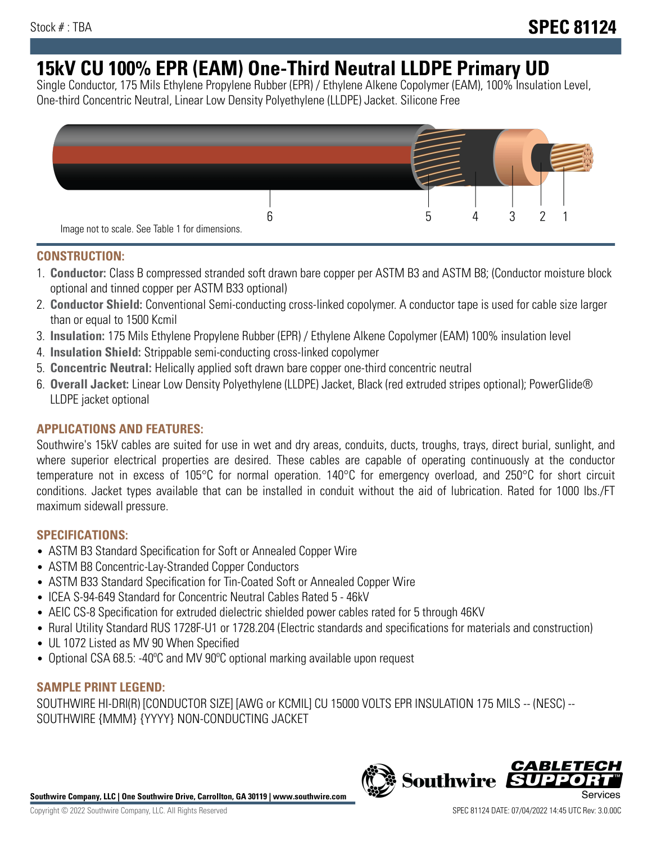# **15kV CU 100% EPR (EAM) One-Third Neutral LLDPE Primary UD**

Single Conductor, 175 Mils Ethylene Propylene Rubber (EPR) / Ethylene Alkene Copolymer (EAM), 100% Insulation Level, One-third Concentric Neutral, Linear Low Density Polyethylene (LLDPE) Jacket. Silicone Free



## **CONSTRUCTION:**

- 1. **Conductor:** Class B compressed stranded soft drawn bare copper per ASTM B3 and ASTM B8; (Conductor moisture block optional and tinned copper per ASTM B33 optional)
- 2. **Conductor Shield:** Conventional Semi-conducting cross-linked copolymer. A conductor tape is used for cable size larger than or equal to 1500 Kcmil
- 3. **Insulation:** 175 Mils Ethylene Propylene Rubber (EPR) / Ethylene Alkene Copolymer (EAM) 100% insulation level
- 4. **Insulation Shield:** Strippable semi-conducting cross-linked copolymer
- 5. **Concentric Neutral:** Helically applied soft drawn bare copper one-third concentric neutral
- 6. **Overall Jacket:** Linear Low Density Polyethylene (LLDPE) Jacket, Black (red extruded stripes optional); PowerGlide® LLDPE jacket optional

## **APPLICATIONS AND FEATURES:**

Southwire's 15kV cables are suited for use in wet and dry areas, conduits, ducts, troughs, trays, direct burial, sunlight, and where superior electrical properties are desired. These cables are capable of operating continuously at the conductor temperature not in excess of 105°C for normal operation. 140°C for emergency overload, and 250°C for short circuit conditions. Jacket types available that can be installed in conduit without the aid of lubrication. Rated for 1000 lbs./FT maximum sidewall pressure.

## **SPECIFICATIONS:**

- ASTM B3 Standard Specification for Soft or Annealed Copper Wire
- ASTM B8 Concentric-Lay-Stranded Copper Conductors
- ASTM B33 Standard Specification for Tin-Coated Soft or Annealed Copper Wire
- ICEA S-94-649 Standard for Concentric Neutral Cables Rated 5 46kV
- AEIC CS-8 Specification for extruded dielectric shielded power cables rated for 5 through 46KV
- Rural Utility Standard RUS 1728F-U1 or 1728.204 (Electric standards and specifications for materials and construction)
- UL 1072 Listed as MV 90 When Specified
- Optional CSA 68.5: -40°C and MV 90°C optional marking available upon request

# **SAMPLE PRINT LEGEND:**

SOUTHWIRE HI-DRI(R) [CONDUCTOR SIZE] [AWG or KCMIL] CU 15000 VOLTS EPR INSULATION 175 MILS -- (NESC) -- SOUTHWIRE {MMM} {YYYY} NON-CONDUCTING JACKET

**Southwire Company, LLC | One Southwire Drive, Carrollton, GA 30119 | www.southwire.com**